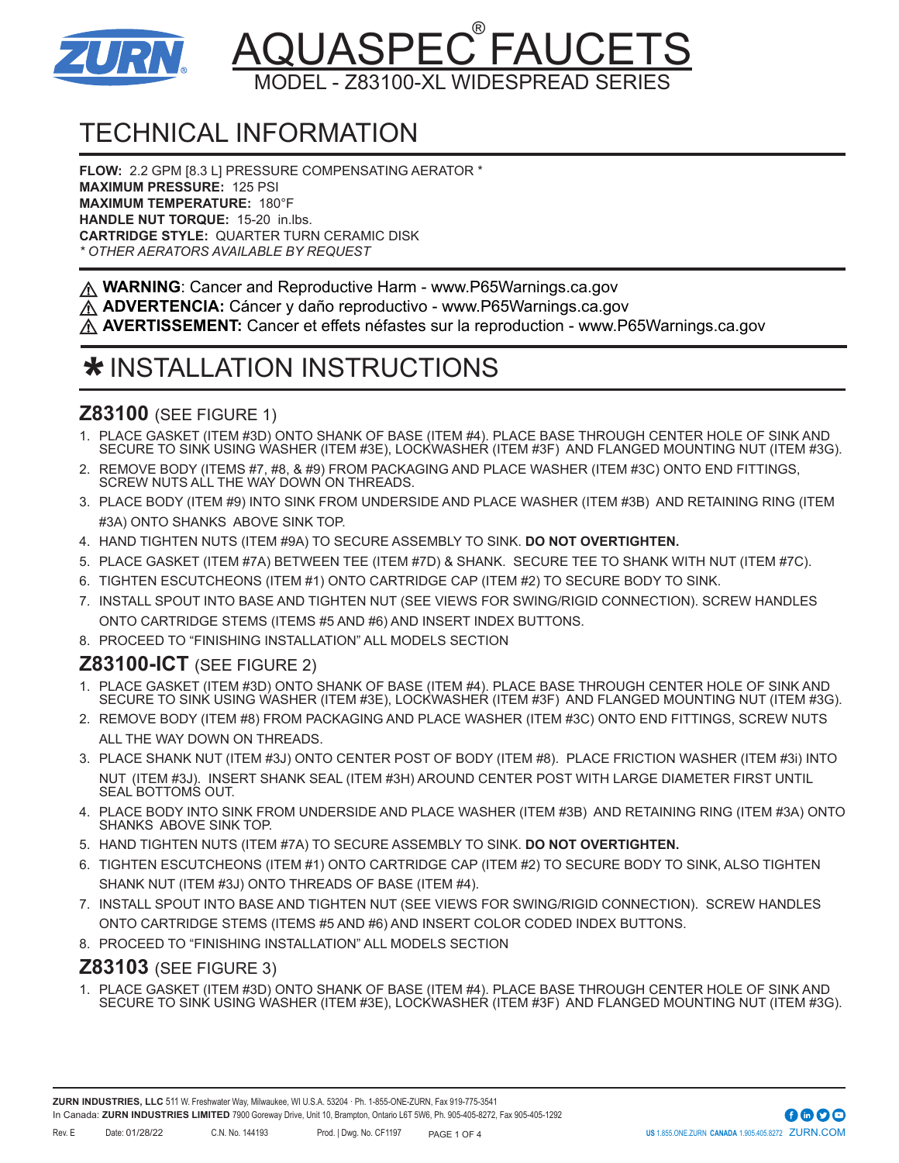

# <u>AQUASPEC®FAUCETS</u> ODEL - Z83100-XL WIDESPREAD SERIE

# TECHNICAL INFORMATION

**FLOW:** 2.2 GPM [8.3 L] PRESSURE COMPENSATING AERATOR \* **MAXIMUM PRESSURE:** 125 PSI **MAXIMUM TEMPERATURE:** 180°F **HANDLE NUT TORQUE:** 15-20 in.lbs. **CARTRIDGE STYLE:** QUARTER TURN CERAMIC DISK *\* OTHER AERATORS AVAILABLE BY REQUEST*

**WARNING**: Cancer and Reproductive Harm - www.P65Warnings.ca.gov

**ADVERTENCIA:** Cáncer y daño reproductivo - www.P65Warnings.ca.gov

**AVERTISSEMENT:** Cancer et effets néfastes sur la reproduction - www.P65Warnings.ca.gov

## **\*** INSTALLATION INSTRUCTIONS

### **Z83100** (SEE FIGURE 1)

- 1. PLACE GASKET (ITEM #3D) ONTO SHANK OF BASE (ITEM #4). PLACE BASE THROUGH CENTER HOLE OF SINK AND SECURE TO SINK USING WASHER (ITEM #3E), LOCKWASHER (ITEM #3F) AND FLANGED MOUNTING NUT (ITEM #3G).
- 2. REMOVE BODY (ITEMS #7, #8, & #9) FROM PACKAGING AND PLACE WASHER (ITEM #3C) ONTO END FITTINGS, SCREW NUTS ALL THE WAY DOWN ON THREADS.
- 3. PLACE BODY (ITEM #9) INTO SINK FROM UNDERSIDE AND PLACE WASHER (ITEM #3B) AND RETAINING RING (ITEM #3A) ONTO SHANKS ABOVE SINK TOP.
- 4. HAND TIGHTEN NUTS (ITEM #9A) TO SECURE ASSEMBLY TO SINK. **DO NOT OVERTIGHTEN.**
- 5. PLACE GASKET (ITEM #7A) BETWEEN TEE (ITEM #7D) & SHANK. SECURE TEE TO SHANK WITH NUT (ITEM #7C).
- 6. TIGHTEN ESCUTCHEONS (ITEM #1) ONTO CARTRIDGE CAP (ITEM #2) TO SECURE BODY TO SINK.
- 7. INSTALL SPOUT INTO BASE AND TIGHTEN NUT (SEE VIEWS FOR SWING/RIGID CONNECTION). SCREW HANDLES ONTO CARTRIDGE STEMS (ITEMS #5 AND #6) AND INSERT INDEX BUTTONS.
- 8. PROCEED TO "FINISHING INSTALLATION" ALL MODELS SECTION

### **Z83100-ICT** (SEE FIGURE 2)

- 1. PLACE GASKET (ITEM #3D) ONTO SHANK OF BASE (ITEM #4). PLACE BASE THROUGH CENTER HOLE OF SINK AND SECURE TO SINK USING WASHER (ITEM #3E), LOCKWASHER (ITEM #3F) AND FLANGED MOUNTING NUT (ITEM #3G).
- 2. REMOVE BODY (ITEM #8) FROM PACKAGING AND PLACE WASHER (ITEM #3C) ONTO END FITTINGS, SCREW NUTS ALL THE WAY DOWN ON THREADS.
- 3. PLACE SHANK NUT (ITEM #3J) ONTO CENTER POST OF BODY (ITEM #8). PLACE FRICTION WASHER (ITEM #3i) INTO NUT (ITEM #3J). INSERT SHANK SEAL (ITEM #3H) AROUND CENTER POST WITH LARGE DIAMETER FIRST UNTIL SEAL BOTTOMS OUT.
- 4. PLACE BODY INTO SINK FROM UNDERSIDE AND PLACE WASHER (ITEM #3B) AND RETAINING RING (ITEM #3A) ONTO SHANKS ABOVE SINK TOP.
- 5. HAND TIGHTEN NUTS (ITEM #7A) TO SECURE ASSEMBLY TO SINK. **DO NOT OVERTIGHTEN.**
- 6. TIGHTEN ESCUTCHEONS (ITEM #1) ONTO CARTRIDGE CAP (ITEM #2) TO SECURE BODY TO SINK, ALSO TIGHTEN SHANK NUT (ITEM #3J) ONTO THREADS OF BASE (ITEM #4).
- 7. INSTALL SPOUT INTO BASE AND TIGHTEN NUT (SEE VIEWS FOR SWING/RIGID CONNECTION). SCREW HANDLES ONTO CARTRIDGE STEMS (ITEMS #5 AND #6) AND INSERT COLOR CODED INDEX BUTTONS.
- 8. PROCEED TO "FINISHING INSTALLATION" ALL MODELS SECTION

#### **Z83103** (SEE FIGURE 3)

1. PLACE GASKET (ITEM #3D) ONTO SHANK OF BASE (ITEM #4). PLACE BASE THROUGH CENTER HOLE OF SINK AND SECURE TO SINK USING WASHER (ITEM #3E), LOCKWASHER (ITEM #3F) AND FLANGED MOUNTING NUT (ITEM #3G).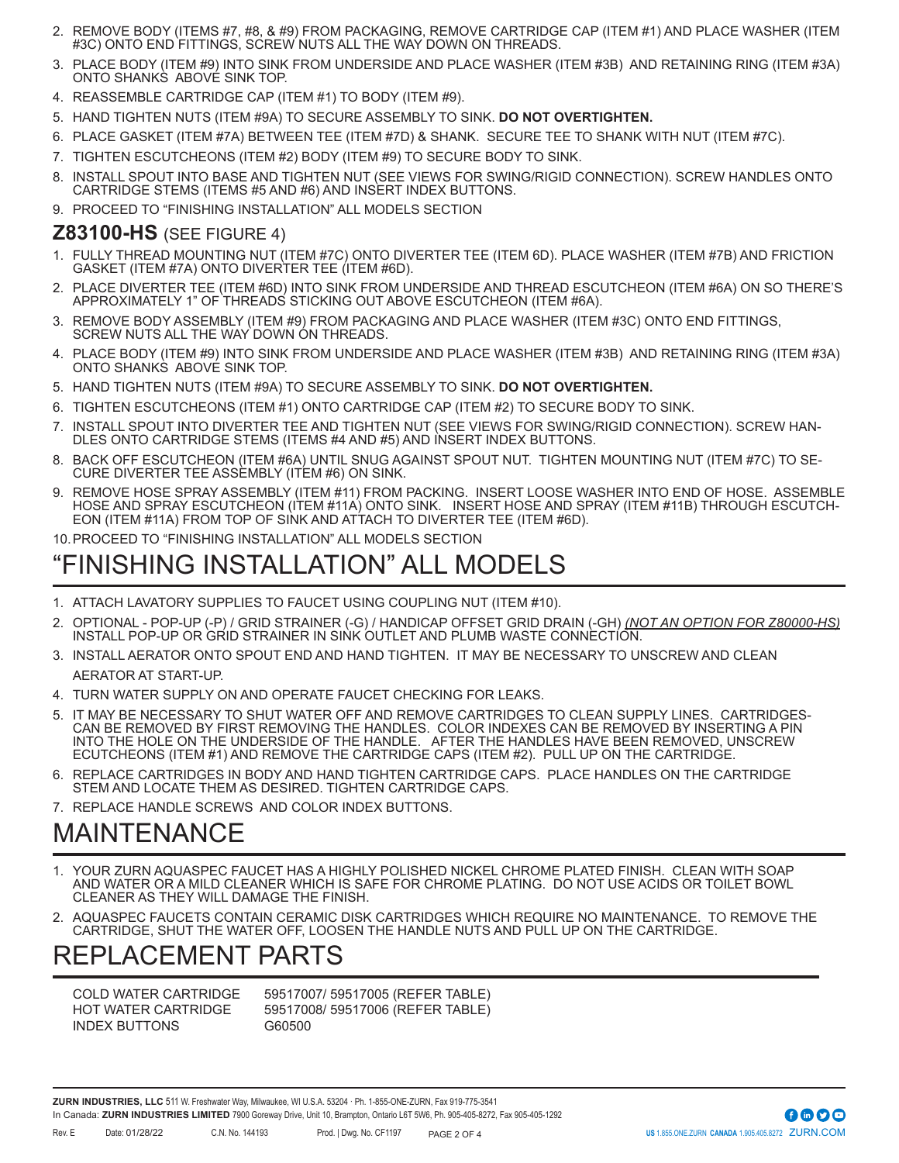- 2. REMOVE BODY (ITEMS #7, #8, & #9) FROM PACKAGING, REMOVE CARTRIDGE CAP (ITEM #1) AND PLACE WASHER (ITEM #3C) ONTO END FITTINGS, SCREW NUTS ALL THE WAY DOWN ON THREADS.
- 3. PLACE BODY (ITEM #9) INTO SINK FROM UNDERSIDE AND PLACE WASHER (ITEM #3B) AND RETAINING RING (ITEM #3A) ONTO SHANKS ABOVE SINK TOP.
- 4. REASSEMBLE CARTRIDGE CAP (ITEM #1) TO BODY (ITEM #9).
- 5. HAND TIGHTEN NUTS (ITEM #9A) TO SECURE ASSEMBLY TO SINK. **DO NOT OVERTIGHTEN.**
- 6. PLACE GASKET (ITEM #7A) BETWEEN TEE (ITEM #7D) & SHANK. SECURE TEE TO SHANK WITH NUT (ITEM #7C).
- 7. TIGHTEN ESCUTCHEONS (ITEM #2) BODY (ITEM #9) TO SECURE BODY TO SINK.
- 8. INSTALL SPOUT INTO BASE AND TIGHTEN NUT (SEE VIEWS FOR SWING/RIGID CONNECTION). SCREW HANDLES ONTO CARTRIDGE STEMS (ITEMS #5 AND #6) AND INSERT INDEX BUTTONS.
- 9. PROCEED TO "FINISHING INSTALLATION" ALL MODELS SECTION

#### **Z83100-HS** (SEE FIGURE 4)

- 1. FULLY THREAD MOUNTING NUT (ITEM #7C) ONTO DIVERTER TEE (ITEM 6D). PLACE WASHER (ITEM #7B) AND FRICTION GASKET (ITEM #7A) ONTO DIVERTER TEE (ITEM #6D).
- 2. PLACE DIVERTER TEE (ITEM #6D) INTO SINK FROM UNDERSIDE AND THREAD ESCUTCHEON (ITEM #6A) ON SO THERE'S APPROXIMATELY 1" OF THREADS STICKING OUT ABOVE ESCUTCHEON (ITEM #6A).
- REMOVE BODY ASSEMBLY (ITEM #9) FROM PACKAGING AND PLACE WASHER (ITEM #3C) ONTO END FITTINGS, SCREW NUTS ALL THE WAY DOWN ON THREADS.
- 4. PLACE BODY (ITEM #9) INTO SINK FROM UNDERSIDE AND PLACE WASHER (ITEM #3B) AND RETAINING RING (ITEM #3A) ONTO SHANKS ABOVE SINK TOP.
- 5. HAND TIGHTEN NUTS (ITEM #9A) TO SECURE ASSEMBLY TO SINK. **DO NOT OVERTIGHTEN.**
- 6. TIGHTEN ESCUTCHEONS (ITEM #1) ONTO CARTRIDGE CAP (ITEM #2) TO SECURE BODY TO SINK.
- 7. INSTALL SPOUT INTO DIVERTER TEE AND TIGHTEN NUT (SEE VIEWS FOR SWING/RIGID CONNECTION). SCREW HAN-DLES ONTO CARTRIDGE STEMS (ITEMS #4 AND #5) AND INSERT INDEX BUTTONS.
- 8. BACK OFF ESCUTCHEON (ITEM #6A) UNTIL SNUG AGAINST SPOUT NUT. TIGHTEN MOUNTING NUT (ITEM #7C) TO SE-CURE DIVERTER TEE ASSEMBLY (ITEM #6) ON SINK.
- REMOVE HOSE SPRAY ASSEMBLY (ITEM #11) FROM PACKING. INSERT LOOSE WASHER INTO END OF HOSE. ASSEMBLE HOSE AND SPRAY ESCUTCHEON (ITEM #11A) ONTO SINK. INSERT HOSE AND SPRAY (ITEM #11B) THROUGH ESCUTCH-EON (ITEM #11A) FROM TOP OF SINK AND ATTACH TO DIVERTER TEE (ITEM #6D).

10.PROCEED TO "FINISHING INSTALLATION" ALL MODELS SECTION

### "FINISHING INSTALLATION" ALL MODELS

- 1. ATTACH LAVATORY SUPPLIES TO FAUCET USING COUPLING NUT (ITEM #10).
- 2. OPTIONAL POP-UP (-P) / GRID STRAINER (-G) / HANDICAP OFFSET GRID DRAIN (-GH) *(NOT AN OPTION FOR Z80000-HS)* INSTALL POP-UP OR GRID STRAINER IN SINK OUTLET AND PLUMB WASTE CONNECTION.
- 3. INSTALL AERATOR ONTO SPOUT END AND HAND TIGHTEN. IT MAY BE NECESSARY TO UNSCREW AND CLEAN AERATOR AT START-UP.
- 4. TURN WATER SUPPLY ON AND OPERATE FAUCET CHECKING FOR LEAKS.
- 5. IT MAY BE NECESSARY TO SHUT WATER OFF AND REMOVE CARTRIDGES TO CLEAN SUPPLY LINES. CARTRIDGES-CAN BE REMOVED BY FIRST REMOVING THE HANDLES. COLOR INDEXES CAN BE REMOVED BY INSERTING A PIN INTO THE HOLE ON THE UNDERSIDE OF THE HANDLE. AFTER THE HANDLES HAVE BEEN REMOVED, UNSCREW ECUTCHEONS (ITEM #1) AND REMOVE THE CARTRIDGE CAPS (ITEM #2). PULL UP ON THE CARTRIDGE.
- REPLACE CARTRIDGES IN BODY AND HAND TIGHTEN CARTRIDGE CAPS. PLACE HANDLES ON THE CARTRIDGE STEM AND LOCATE THEM AS DESIRED. TIGHTEN CARTRIDGE CAPS.
- 7. REPLACE HANDLE SCREWS AND COLOR INDEX BUTTONS.

## MAINTENANCE

- YOUR ZURN AQUASPEC FAUCET HAS A HIGHLY POLISHED NICKEL CHROME PLATED FINISH. CLEAN WITH SOAP AND WATER OR A MILD CLEANER WHICH IS SAFE FOR CHROME PLATING. DO NOT USE ACIDS OR TOILET BOWL CLEANER AS THEY WILL DAMAGE THE FINISH.
- 2. AQUASPEC FAUCETS CONTAIN CERAMIC DISK CARTRIDGES WHICH REQUIRE NO MAINTENANCE. TO REMOVE THE CARTRIDGE, SHUT THE WATER OFF, LOOSEN THE HANDLE NUTS AND PULL UP ON THE CARTRIDGE.

### REPLACEMENT PARTS

INDEX BUTTONS G60500

COLD WATER CARTRIDGE 59517007/ 59517005 (REFER TABLE) HOT WATER CARTRIDGE 59517008/ 59517006 (REFER TABLE)

**ZURN INDUSTRIES, LLC** 511 W. Freshwater Way, Milwaukee, WI U.S.A. 53204 · Ph. 1-855-ONE-ZURN, Fax 919-775-3541 In Canada: **ZURN INDUSTRIES LIMITED** 7900 Goreway Drive, Unit 10, Brampton, Ontario L6T 5W6, Ph. 905-405-8272, Fax 905-405-1292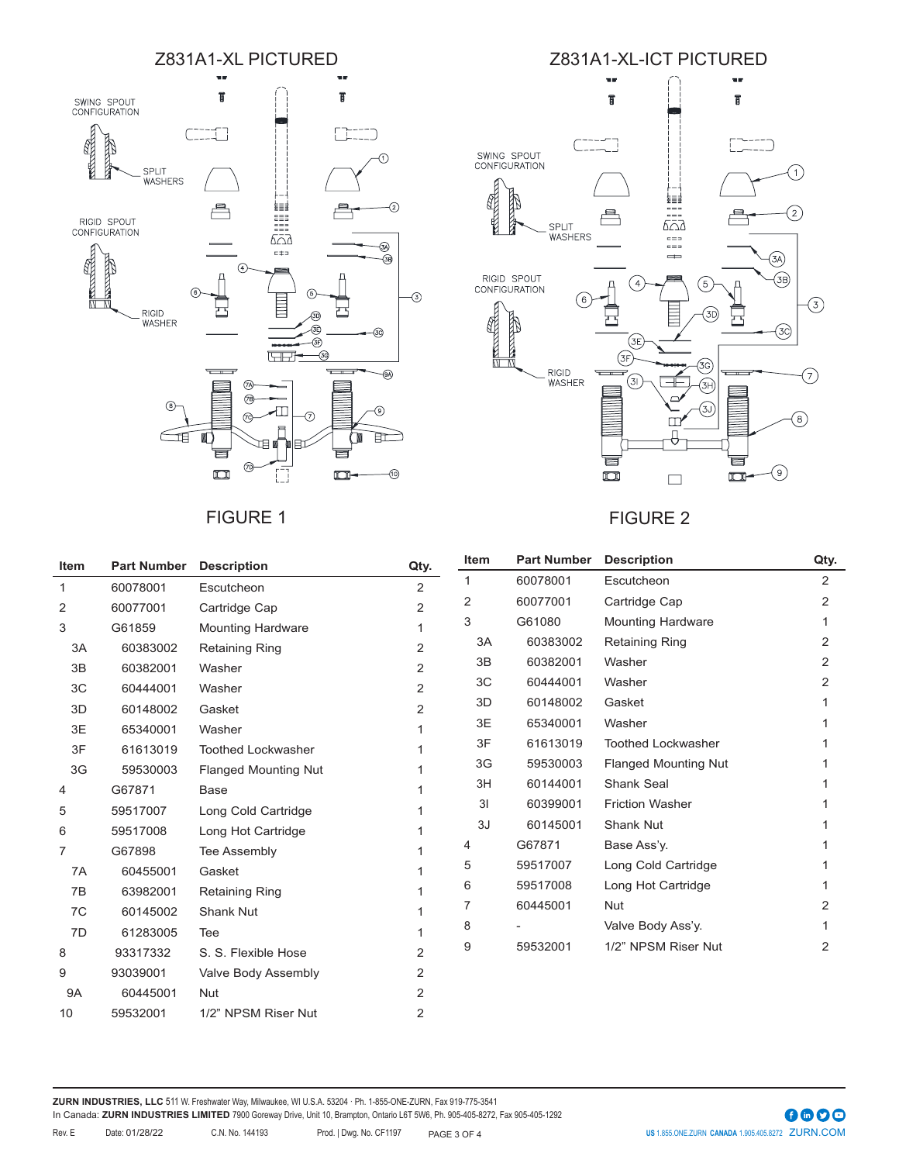

### FIGURE 1 FIGURE 2



| <b>Item</b> | <b>Part Number</b> | <b>Description</b>          | Qty.           | Item | <b>Part Number</b> | <b>Description</b>          | Qty.           |
|-------------|--------------------|-----------------------------|----------------|------|--------------------|-----------------------------|----------------|
| 1           | 60078001           | Escutcheon                  | 2              | 1    | 60078001           | Escutcheon                  | $\overline{2}$ |
| 2           | 60077001           | Cartridge Cap               | 2              | 2    | 60077001           | Cartridge Cap               | $\overline{2}$ |
| 3           | G61859             | <b>Mounting Hardware</b>    |                | 3    | G61080             | <b>Mounting Hardware</b>    | 1              |
| 3A          | 60383002           | <b>Retaining Ring</b>       | 2              | 3A   | 60383002           | <b>Retaining Ring</b>       | 2              |
| 3B          | 60382001           | Washer                      | 2              | 3B   | 60382001           | Washer                      | 2              |
| 3C          | 60444001           | Washer                      | 2              | 3C   | 60444001           | Washer                      | 2              |
| 3D          | 60148002           | Gasket                      | 2              | 3D   | 60148002           | Gasket                      |                |
| 3E          | 65340001           | Washer                      |                | 3E   | 65340001           | Washer                      |                |
| 3F          | 61613019           | <b>Toothed Lockwasher</b>   |                | 3F   | 61613019           | <b>Toothed Lockwasher</b>   |                |
| 3G          | 59530003           | <b>Flanged Mounting Nut</b> |                | 3G   | 59530003           | <b>Flanged Mounting Nut</b> |                |
| 4           | G67871             | Base                        |                | 3H   | 60144001           | Shank Seal                  |                |
| 5           | 59517007           | Long Cold Cartridge         |                | 3I   | 60399001           | <b>Friction Washer</b>      |                |
| 6           | 59517008           | Long Hot Cartridge          |                | 3J   | 60145001           | Shank Nut                   |                |
| 7           | G67898             | Tee Assembly                |                | 4    | G67871             | Base Ass'y.                 |                |
| 7A          | 60455001           | Gasket                      |                | 5    | 59517007           | Long Cold Cartridge         |                |
| 7B          | 63982001           | <b>Retaining Ring</b>       |                | 6    | 59517008           | Long Hot Cartridge          |                |
| 7C          | 60145002           | <b>Shank Nut</b>            |                | 7    | 60445001           | <b>Nut</b>                  | 2              |
| 7D          | 61283005           | Tee                         |                | 8    |                    | Valve Body Ass'y.           |                |
| 8           | 93317332           | S. S. Flexible Hose         | $\overline{2}$ | 9    | 59532001           | 1/2" NPSM Riser Nut         | 2              |
|             | 93039001           |                             | 2              |      |                    |                             |                |
| 9           |                    | Valve Body Assembly         |                |      |                    |                             |                |
| <b>9A</b>   | 60445001           | <b>Nut</b>                  | 2              |      |                    |                             |                |
| 10          | 59532001           | 1/2" NPSM Riser Nut         | 2              |      |                    |                             |                |

**ZURN INDUSTRIES, LLC** 511 W. Freshwater Way, Milwaukee, WI U.S.A. 53204 · Ph. 1-855-ONE-ZURN, Fax 919-775-3541 In Canada: **ZURN INDUSTRIES LIMITED** 7900 Goreway Drive, Unit 10, Brampton, Ontario L6T 5W6, Ph. 905-405-8272, Fax 905-405-1292